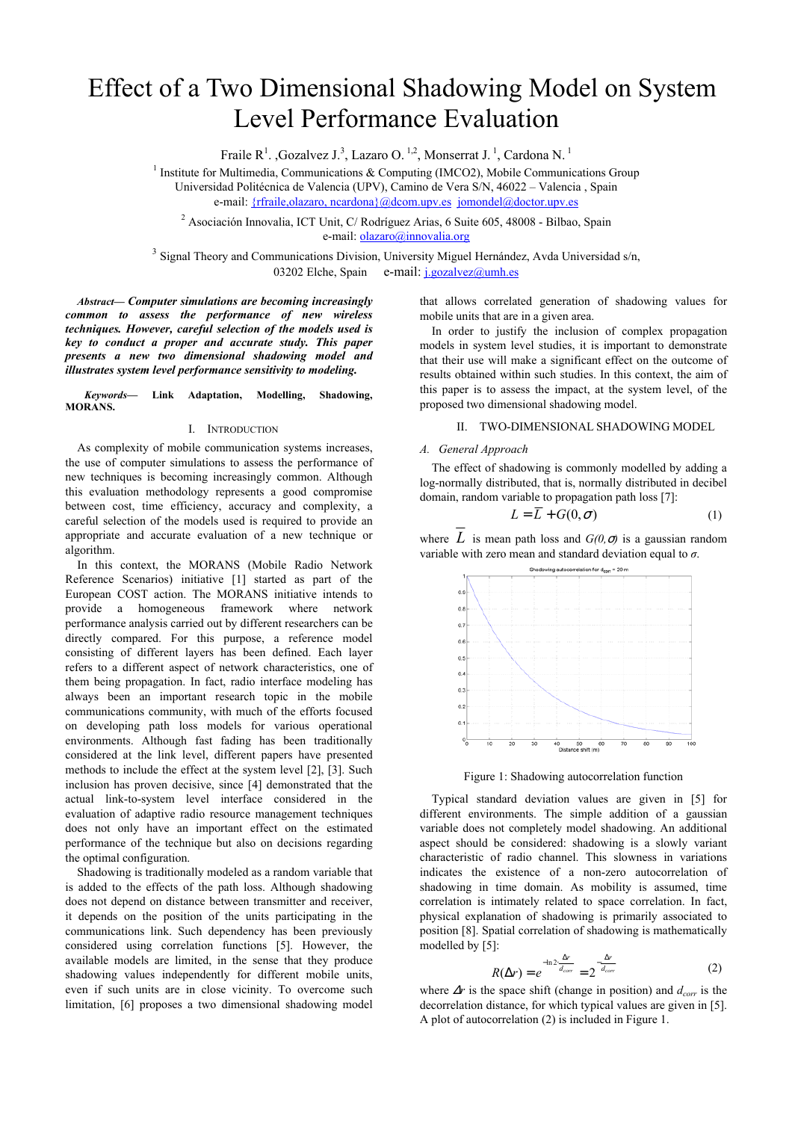# Effect of a Two Dimensional Shadowing Model on System Level Performance Evaluation

Fraile R<sup>1</sup>., Gozalvez J.<sup>3</sup>, Lazaro O.<sup>1,2</sup>, Monserrat J.<sup>1</sup>, Cardona N.<sup>1</sup>

<sup>1</sup> Institute for Multimedia, Communications  $\&$  Computing (IMCO2), Mobile Communications Group Universidad Politécnica de Valencia (UPV), Camino de Vera S/N, 46022 – Valencia , Spain

e-mail: {rfraile,olazaro, ncardona}@dcom.upv.es jomondel@doctor.upv.es

2 Asociación Innovalia, ICT Unit, C/ Rodríguez Arias, 6 Suite 605, 48008 - Bilbao, Spain e-mail: olazaro@innovalia.org

<sup>3</sup> Signal Theory and Communications Division, University Miguel Hernández, Avda Universidad s/n, 03202 Elche, Spain e-mail:  $i.gozalvez@umb.es$ 

*Abstract— Computer simulations are becoming increasingly common to assess the performance of new wireless techniques. However, careful selection of the models used is key to conduct a proper and accurate study. This paper presents a new two dimensional shadowing model and illustrates system level performance sensitivity to modeling.*

*Keywords—* **Link Adaptation, Modelling, Shadowing, MORANS.**

## I. INTRODUCTION

As complexity of mobile communication systems increases, the use of computer simulations to assess the performance of new techniques is becoming increasingly common. Although this evaluation methodology represents a good compromise between cost, time efficiency, accuracy and complexity, a careful selection of the models used is required to provide an appropriate and accurate evaluation of a new technique or algorithm.

In this context, the MORANS (Mobile Radio Network Reference Scenarios) initiative [1] started as part of the European COST action. The MORANS initiative intends to provide a homogeneous framework where network performance analysis carried out by different researchers can be directly compared. For this purpose, a reference model consisting of different layers has been defined. Each layer refers to a different aspect of network characteristics, one of them being propagation. In fact, radio interface modeling has always been an important research topic in the mobile communications community, with much of the efforts focused on developing path loss models for various operational environments. Although fast fading has been traditionally considered at the link level, different papers have presented methods to include the effect at the system level [2], [3]. Such inclusion has proven decisive, since [4] demonstrated that the actual link-to-system level interface considered in the evaluation of adaptive radio resource management techniques does not only have an important effect on the estimated performance of the technique but also on decisions regarding the optimal configuration.

Shadowing is traditionally modeled as a random variable that is added to the effects of the path loss. Although shadowing does not depend on distance between transmitter and receiver, it depends on the position of the units participating in the communications link. Such dependency has been previously considered using correlation functions [5]. However, the available models are limited, in the sense that they produce shadowing values independently for different mobile units, even if such units are in close vicinity. To overcome such limitation, [6] proposes a two dimensional shadowing model that allows correlated generation of shadowing values for mobile units that are in a given area.

In order to justify the inclusion of complex propagation models in system level studies, it is important to demonstrate that their use will make a significant effect on the outcome of results obtained within such studies. In this context, the aim of this paper is to assess the impact, at the system level, of the proposed two dimensional shadowing model.

## II. TWO-DIMENSIONAL SHADOWING MODEL

# *A. General Approach*

The effect of shadowing is commonly modelled by adding a log-normally distributed, that is, normally distributed in decibel domain, random variable to propagation path loss [7]:

$$
L = \overline{L} + G(0, \sigma) \tag{1}
$$

where  $L$  is mean path loss and  $G(0, \sigma)$  is a gaussian random variable with zero mean and standard deviation equal to *σ*.



Figure 1: Shadowing autocorrelation function

Typical standard deviation values are given in [5] for different environments. The simple addition of a gaussian variable does not completely model shadowing. An additional aspect should be considered: shadowing is a slowly variant characteristic of radio channel. This slowness in variations indicates the existence of a non-zero autocorrelation of shadowing in time domain. As mobility is assumed, time correlation is intimately related to space correlation. In fact, physical explanation of shadowing is primarily associated to position [8]. Spatial correlation of shadowing is mathematically modelled by [5]:

$$
R(\Delta r) = e^{-\ln 2 \frac{\Delta r}{d_{corr}}} = 2^{-\frac{\Delta r}{d_{corr}}} \tag{2}
$$

where  $\Delta r$  is the space shift (change in position) and  $d_{corr}$  is the decorrelation distance, for which typical values are given in [5]. A plot of autocorrelation (2) is included in Figure 1.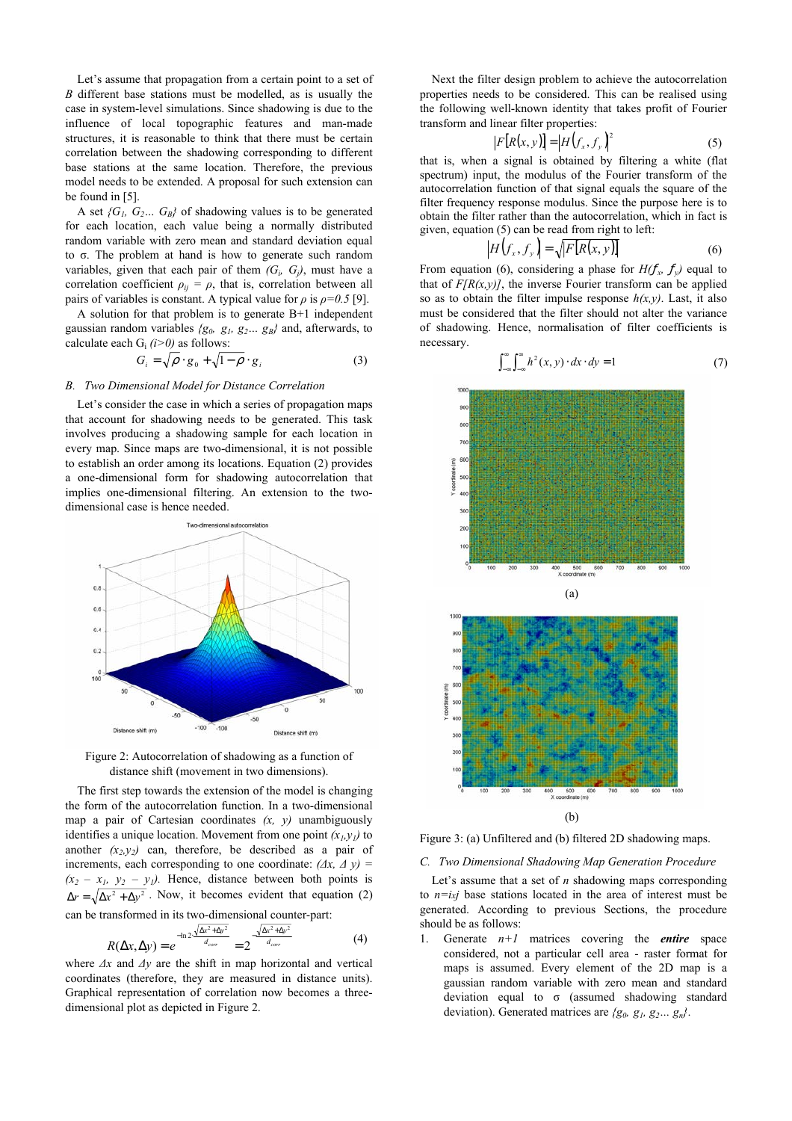Let's assume that propagation from a certain point to a set of *B* different base stations must be modelled, as is usually the case in system-level simulations. Since shadowing is due to the influence of local topographic features and man-made structures, it is reasonable to think that there must be certain correlation between the shadowing corresponding to different base stations at the same location. Therefore, the previous model needs to be extended. A proposal for such extension can be found in [5].

A set  ${G_1, G_2... G_B}$  of shadowing values is to be generated for each location, each value being a normally distributed random variable with zero mean and standard deviation equal to σ. The problem at hand is how to generate such random variables, given that each pair of them  $(G_i, G_j)$ , must have a correlation coefficient  $\rho_{ii} = \rho$ , that is, correlation between all pairs of variables is constant. A typical value for  $\rho$  is  $\rho = 0.5$  [9].

A solution for that problem is to generate B+1 independent gaussian random variables *{g0, g1, g2… gB}* and, afterwards, to calculate each  $G_i$   $(i>0)$  as follows:

$$
G_i = \sqrt{\rho} \cdot g_0 + \sqrt{1 - \rho} \cdot g_i \tag{3}
$$

# *B. Two Dimensional Model for Distance Correlation*

Let's consider the case in which a series of propagation maps that account for shadowing needs to be generated. This task involves producing a shadowing sample for each location in every map. Since maps are two-dimensional, it is not possible to establish an order among its locations. Equation (2) provides a one-dimensional form for shadowing autocorrelation that implies one-dimensional filtering. An extension to the twodimensional case is hence needed.



Figure 2: Autocorrelation of shadowing as a function of distance shift (movement in two dimensions).

The first step towards the extension of the model is changing the form of the autocorrelation function. In a two-dimensional map a pair of Cartesian coordinates  $(x, y)$  unambiguously identifies a unique location. Movement from one point  $(x_l, y_l)$  to another  $(x_2, y_2)$  can, therefore, be described as a pair of increments, each corresponding to one coordinate:  $(\Delta x, \Delta y)$  $(x_2 - x_1, y_2 - y_1)$ . Hence, distance between both points is  $\Delta r = \sqrt{\Delta x^2 + \Delta y^2}$ . Now, it becomes evident that equation (2) can be transformed in its two-dimensional counter-part:

$$
R(\Delta x, \Delta y) = e^{-\ln 2 \frac{\sqrt{\Delta x^2 + \Delta y^2}}{d_{corr}}} = 2^{-\frac{\sqrt{\Delta x^2 + \Delta y^2}}{d_{corr}}} \tag{4}
$$

where *∆x* and *∆y* are the shift in map horizontal and vertical coordinates (therefore, they are measured in distance units). Graphical representation of correlation now becomes a threedimensional plot as depicted in Figure 2.

Next the filter design problem to achieve the autocorrelation properties needs to be considered. This can be realised using the following well-known identity that takes profit of Fourier transform and linear filter properties:

$$
|F[R(x, y)]| = |H(f_x, f_y)|^2
$$
 (5)

that is, when a signal is obtained by filtering a white (flat spectrum) input, the modulus of the Fourier transform of the autocorrelation function of that signal equals the square of the filter frequency response modulus. Since the purpose here is to obtain the filter rather than the autocorrelation, which in fact is given, equation (5) can be read from right to left:

$$
|H(f_x, f_y)| = \sqrt{|F[R(x, y)]}
$$
 (6)

From equation (6), considering a phase for  $H(f_x, f_y)$  equal to that of  $F/R(x,y)$ , the inverse Fourier transform can be applied so as to obtain the filter impulse response  $h(x, y)$ . Last, it also must be considered that the filter should not alter the variance of shadowing. Hence, normalisation of filter coefficients is necessary.

$$
\int_{-\infty}^{\infty} \int_{-\infty}^{\infty} h^2(x, y) \cdot dx \cdot dy = 1 \tag{7}
$$



Figure 3: (a) Unfiltered and (b) filtered 2D shadowing maps.

*C. Two Dimensional Shadowing Map Generation Procedure* 

Let's assume that a set of *n* shadowing maps corresponding to  $n=ixj$  base stations located in the area of interest must be generated. According to previous Sections, the procedure should be as follows:

1. Generate  $n+1$  matrices covering the *entire* space considered, not a particular cell area - raster format for maps is assumed. Every element of the 2D map is a gaussian random variable with zero mean and standard deviation equal to σ (assumed shadowing standard deviation). Generated matrices are *{g0, g1, g2… gn}*.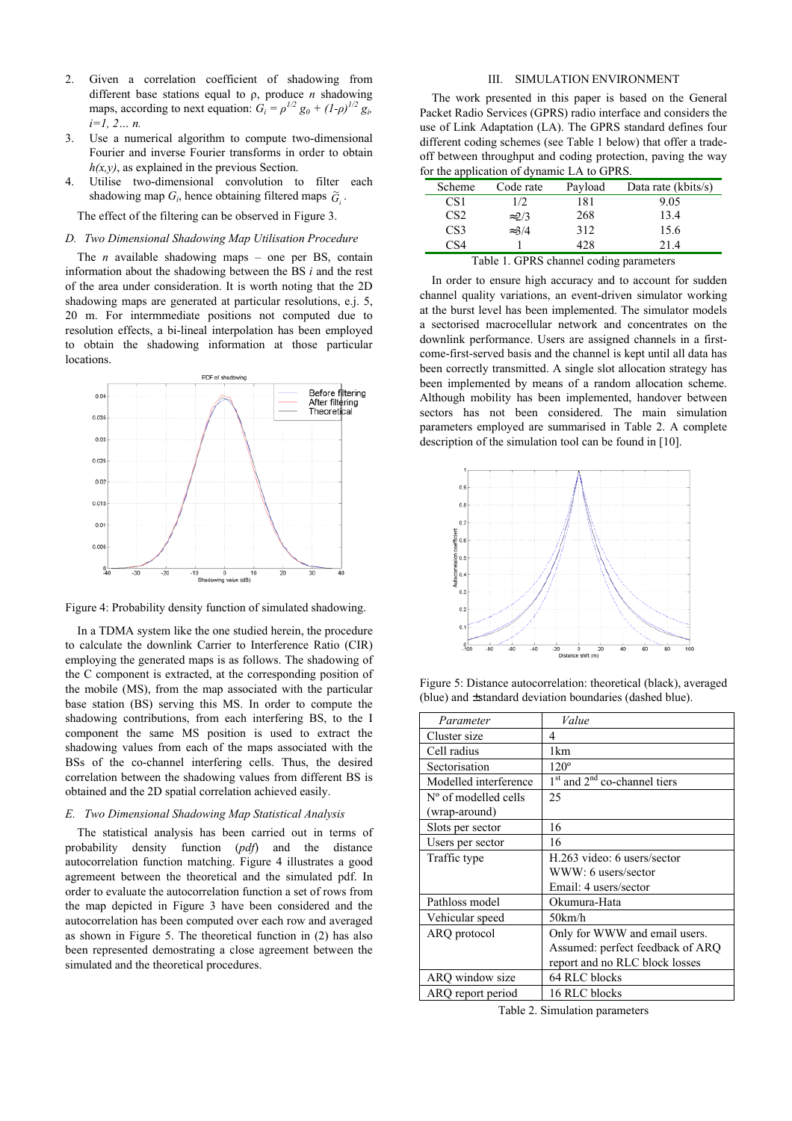- 2. Given a correlation coefficient of shadowing from different base stations equal to ρ, produce *n* shadowing maps, according to next equation:  $G_i = \rho^{1/2} g_0 + (1-\rho)^{1/2} g_i$ *i=1, 2… n.*
- 3. Use a numerical algorithm to compute two-dimensional Fourier and inverse Fourier transforms in order to obtain *h(x,y)*, as explained in the previous Section.
- 4. Utilise two-dimensional convolution to filter each shadowing map  $G_i$ , hence obtaining filtered maps  $\widetilde{G}_i$ .

The effect of the filtering can be observed in Figure 3.

## *D. Two Dimensional Shadowing Map Utilisation Procedure*

The *n* available shadowing maps – one per BS, contain information about the shadowing between the BS *i* and the rest of the area under consideration. It is worth noting that the 2D shadowing maps are generated at particular resolutions, e.j. 5, 20 m. For intermmediate positions not computed due to resolution effects, a bi-lineal interpolation has been employed to obtain the shadowing information at those particular locations.



Figure 4: Probability density function of simulated shadowing.

In a TDMA system like the one studied herein, the procedure to calculate the downlink Carrier to Interference Ratio (CIR) employing the generated maps is as follows. The shadowing of the C component is extracted, at the corresponding position of the mobile (MS), from the map associated with the particular base station (BS) serving this MS. In order to compute the shadowing contributions, from each interfering BS, to the I component the same MS position is used to extract the shadowing values from each of the maps associated with the BSs of the co-channel interfering cells. Thus, the desired correlation between the shadowing values from different BS is obtained and the 2D spatial correlation achieved easily.

## *E. Two Dimensional Shadowing Map Statistical Analysis*

The statistical analysis has been carried out in terms of probability density function (*pdf*) and the distance autocorrelation function matching. Figure 4 illustrates a good agremeent between the theoretical and the simulated pdf. In order to evaluate the autocorrelation function a set of rows from the map depicted in Figure 3 have been considered and the autocorrelation has been computed over each row and averaged as shown in Figure 5. The theoretical function in (2) has also been represented demostrating a close agreement between the simulated and the theoretical procedures.

## III. SIMULATION ENVIRONMENT

The work presented in this paper is based on the General Packet Radio Services (GPRS) radio interface and considers the use of Link Adaptation (LA). The GPRS standard defines four different coding schemes (see Table 1 below) that offer a tradeoff between throughput and coding protection, paving the way for the application of dynamic LA to GPRS.

| Scheme                                  | Code rate     | Payload | Data rate (kbits/s) |  |  |  |  |
|-----------------------------------------|---------------|---------|---------------------|--|--|--|--|
| CS <sub>1</sub>                         | 1/2           | 181     | 9.05                |  |  |  |  |
| CS <sub>2</sub>                         | $\approx$ 2/3 | 268     | 13.4                |  |  |  |  |
| CS <sub>3</sub>                         | $\approx 3/4$ | 312     | 15.6                |  |  |  |  |
| CS4                                     |               | 428     | 21.4                |  |  |  |  |
| Table 1. GPRS channel coding parameters |               |         |                     |  |  |  |  |

In order to ensure high accuracy and to account for sudden channel quality variations, an event-driven simulator working at the burst level has been implemented. The simulator models a sectorised macrocellular network and concentrates on the downlink performance. Users are assigned channels in a firstcome-first-served basis and the channel is kept until all data has been correctly transmitted. A single slot allocation strategy has been implemented by means of a random allocation scheme. Although mobility has been implemented, handover between sectors has not been considered. The main simulation parameters employed are summarised in Table 2. A complete description of the simulation tool can be found in [10].



Figure 5: Distance autocorrelation: theoretical (black), averaged (blue) and ±standard deviation boundaries (dashed blue).

| Parameter                     | Value                            |  |  |  |
|-------------------------------|----------------------------------|--|--|--|
| Cluster size                  | 4                                |  |  |  |
| Cell radius                   | 1km                              |  |  |  |
| Sectorisation                 | $120^\circ$                      |  |  |  |
| Modelled interference         | $1st$ and $2nd$ co-channel tiers |  |  |  |
| $N^{\circ}$ of modelled cells | 25                               |  |  |  |
| (wrap-around)                 |                                  |  |  |  |
| Slots per sector              | 16                               |  |  |  |
| Users per sector              | 16                               |  |  |  |
| Traffic type                  | H.263 video: 6 users/sector      |  |  |  |
|                               | WWW: 6 users/sector              |  |  |  |
|                               | Email: 4 users/sector            |  |  |  |
| Pathloss model                | Okumura-Hata                     |  |  |  |
| Vehicular speed               | 50km/h                           |  |  |  |
| ARQ protocol                  | Only for WWW and email users.    |  |  |  |
|                               | Assumed: perfect feedback of ARQ |  |  |  |
|                               | report and no RLC block losses   |  |  |  |
| ARQ window size               | 64 RLC blocks                    |  |  |  |
| ARQ report period             | 16 RLC blocks                    |  |  |  |

Table 2. Simulation parameters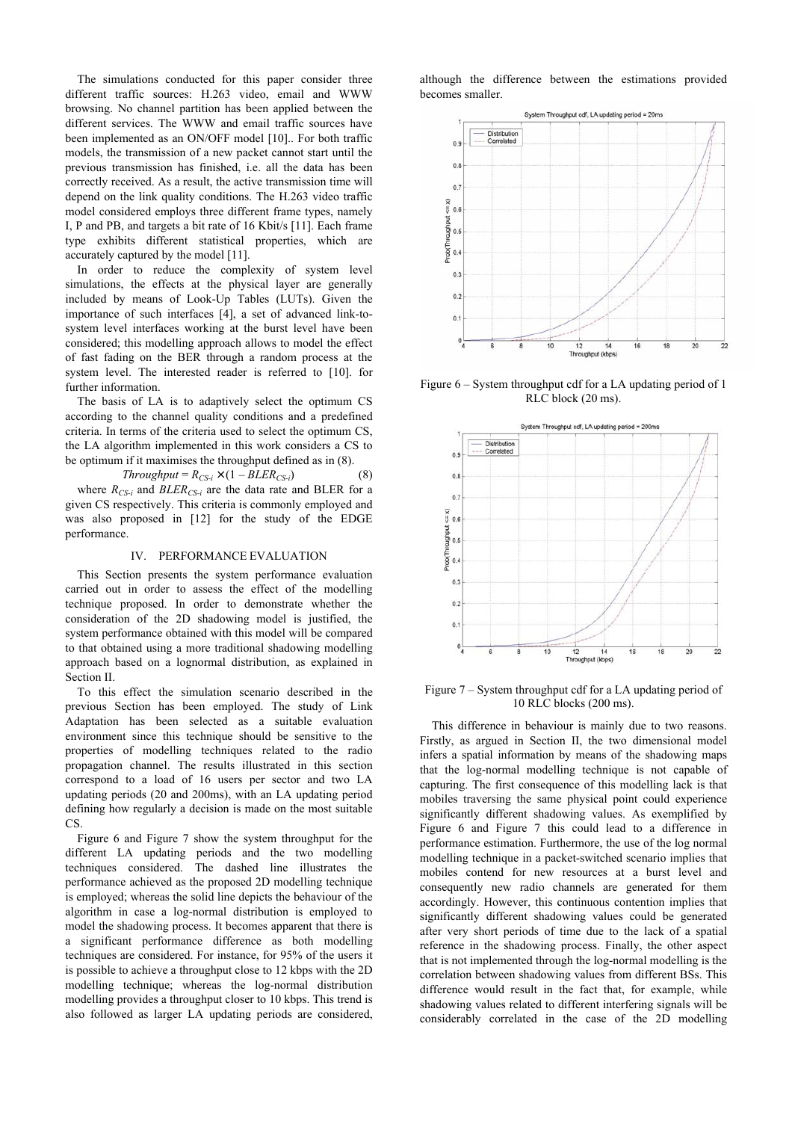The simulations conducted for this paper consider three different traffic sources: H.263 video, email and WWW browsing. No channel partition has been applied between the different services. The WWW and email traffic sources have been implemented as an ON/OFF model [10].. For both traffic models, the transmission of a new packet cannot start until the previous transmission has finished, i.e. all the data has been correctly received. As a result, the active transmission time will depend on the link quality conditions. The H.263 video traffic model considered employs three different frame types, namely I, P and PB, and targets a bit rate of 16 Kbit/s [11]. Each frame type exhibits different statistical properties, which are accurately captured by the model [11].

In order to reduce the complexity of system level simulations, the effects at the physical layer are generally included by means of Look-Up Tables (LUTs). Given the importance of such interfaces [4], a set of advanced link-tosystem level interfaces working at the burst level have been considered; this modelling approach allows to model the effect of fast fading on the BER through a random process at the system level. The interested reader is referred to [10]. for further information.

The basis of LA is to adaptively select the optimum CS according to the channel quality conditions and a predefined criteria. In terms of the criteria used to select the optimum CS, the LA algorithm implemented in this work considers a CS to be optimum if it maximises the throughput defined as in (8).

$$
Throughout = R_{CS-i} \times (1 - BLER_{CS-i})
$$
\n(8)

where  $R_{CS-i}$  and  $BLER_{CS-i}$  are the data rate and BLER for a given CS respectively. This criteria is commonly employed and was also proposed in [12] for the study of the EDGE performance.

### IV. PERFORMANCE EVALUATION

This Section presents the system performance evaluation carried out in order to assess the effect of the modelling technique proposed. In order to demonstrate whether the consideration of the 2D shadowing model is justified, the system performance obtained with this model will be compared to that obtained using a more traditional shadowing modelling approach based on a lognormal distribution, as explained in Section II.

To this effect the simulation scenario described in the previous Section has been employed. The study of Link Adaptation has been selected as a suitable evaluation environment since this technique should be sensitive to the properties of modelling techniques related to the radio propagation channel. The results illustrated in this section correspond to a load of 16 users per sector and two LA updating periods (20 and 200ms), with an LA updating period defining how regularly a decision is made on the most suitable C<sub>S</sub>

Figure 6 and Figure 7 show the system throughput for the different LA updating periods and the two modelling techniques considered. The dashed line illustrates the performance achieved as the proposed 2D modelling technique is employed; whereas the solid line depicts the behaviour of the algorithm in case a log-normal distribution is employed to model the shadowing process. It becomes apparent that there is a significant performance difference as both modelling techniques are considered. For instance, for 95% of the users it is possible to achieve a throughput close to 12 kbps with the 2D modelling technique; whereas the log-normal distribution modelling provides a throughput closer to 10 kbps. This trend is also followed as larger LA updating periods are considered, although the difference between the estimations provided becomes smaller.



Figure 6 – System throughput cdf for a LA updating period of 1 RLC block (20 ms).



Figure 7 – System throughput cdf for a LA updating period of 10 RLC blocks (200 ms).

This difference in behaviour is mainly due to two reasons. Firstly, as argued in Section II, the two dimensional model infers a spatial information by means of the shadowing maps that the log-normal modelling technique is not capable of capturing. The first consequence of this modelling lack is that mobiles traversing the same physical point could experience significantly different shadowing values. As exemplified by Figure 6 and Figure 7 this could lead to a difference in performance estimation. Furthermore, the use of the log normal modelling technique in a packet-switched scenario implies that mobiles contend for new resources at a burst level and consequently new radio channels are generated for them accordingly. However, this continuous contention implies that significantly different shadowing values could be generated after very short periods of time due to the lack of a spatial reference in the shadowing process. Finally, the other aspect that is not implemented through the log-normal modelling is the correlation between shadowing values from different BSs. This difference would result in the fact that, for example, while shadowing values related to different interfering signals will be considerably correlated in the case of the 2D modelling